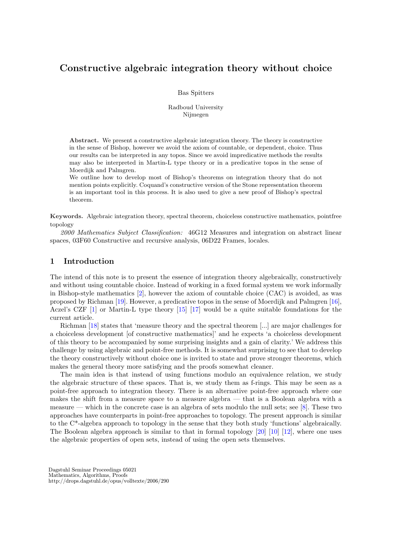# Constructive algebraic integration theory without choice

Bas Spitters

Radboud University Nijmegen

Abstract. We present a constructive algebraic integration theory. The theory is constructive in the sense of Bishop, however we avoid the axiom of countable, or dependent, choice. Thus our results can be interpreted in any topos. Since we avoid impredicative methods the results may also be interpreted in Martin-L type theory or in a predicative topos in the sense of Moerdijk and Palmgren.

We outline how to develop most of Bishop's theorems on integration theory that do not mention points explicitly. Coquand's constructive version of the Stone representation theorem is an important tool in this process. It is also used to give a new proof of Bishop's spectral theorem.

Keywords. Algebraic integration theory, spectral theorem, choiceless constructive mathematics, pointfree topology

2000 Mathematics Subject Classification: 46G12 Measures and integration on abstract linear spaces, 03F60 Constructive and recursive analysis, 06D22 Frames, locales.

# 1 Introduction

The intend of this note is to present the essence of integration theory algebraically, constructively and without using countable choice. Instead of working in a fixed formal system we work informally in Bishop-style mathematics [2], however the axiom of countable choice (CAC) is avoided, as was proposed by Richman [19]. However, a predicative topos in the sense of Moerdijk and Palmgren [16], Aczel's CZF [1] or Martin-L type theory [15] [17] would be a quite suitable foundations for the current article.

Richman [18] states that 'measure theory and the spectral theorem [...] are major challenges for a choiceless development [of constructive mathematics]' and he expects 'a choiceless development of this theory to be accompanied by some surprising insights and a gain of clarity.' We address this challenge by using algebraic and point-free methods. It is somewhat surprising to see that to develop the theory constructively without choice one is invited to state and prove stronger theorems, which makes the general theory more satisfying and the proofs somewhat cleaner.

The main idea is that instead of using functions modulo an equivalence relation, we study the algebraic structure of these spaces. That is, we study them as f-rings. This may be seen as a point-free approach to integration theory. There is an alternative point-free approach where one makes the shift from a measure space to a measure algebra — that is a Boolean algebra with a measure — which in the concrete case is an algebra of sets modulo the null sets; see [8]. These two approaches have counterparts in point-free approaches to topology. The present approach is similar to the C\*-algebra approach to topology in the sense that they both study 'functions' algebraically. The Boolean algebra approach is similar to that in formal topology  $[20]$   $[10]$   $[12]$ , where one uses the algebraic properties of open sets, instead of using the open sets themselves.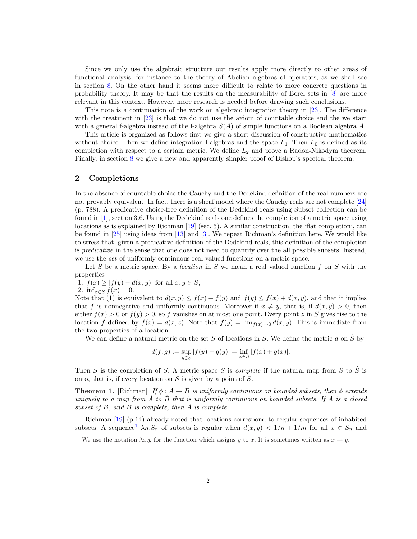Since we only use the algebraic structure our results apply more directly to other areas of functional analysis, for instance to the theory of Abelian algebras of operators, as we shall see in section 8. On the other hand it seems more difficult to relate to more concrete questions in probability theory. It may be that the results on the measurability of Borel sets in [8] are more relevant in this context. However, more research is needed before drawing such conclusions.

This note is a continuation of the work on algebraic integration theory in [23]. The difference with the treatment in [23] is that we do not use the axiom of countable choice and the we start with a general f-algebra instead of the f-algebra  $S(A)$  of simple functions on a Boolean algebra A.

This article is organized as follows first we give a short discussion of constructive mathematics without choice. Then we define integration f-algebras and the space  $L_1$ . Then  $L_0$  is defined as its completion with respect to a certain metric. We define  $L_2$  and prove a Radon-Nikodym theorem. Finally, in section 8 we give a new and apparently simpler proof of Bishop's spectral theorem.

## 2 Completions

In the absence of countable choice the Cauchy and the Dedekind definition of the real numbers are not provably equivalent. In fact, there is a sheaf model where the Cauchy reals are not complete [24] (p. 788). A predicative choice-free definition of the Dedekind reals using Subset collection can be found in [1], section 3.6. Using the Dedekind reals one defines the completion of a metric space using locations as is explained by Richman [19] (sec. 5). A similar construction, the 'flat completion', can be found in [25] using ideas from [13] and [3]. We repeat Richman's definition here. We would like to stress that, given a predicative definition of the Dedekind reals, this definition of the completion is *predicative* in the sense that one does not need to quantify over the all possible subsets. Instead, we use the *set* of uniformly continuous real valued functions on a metric space.

Let S be a metric space. By a *location* in S we mean a real valued function f on S with the properties

1.  $f(x) \ge |f(y) - d(x, y)|$  for all  $x, y \in S$ , 2. inf<sub> $x \in S$ </sub>  $f(x) = 0$ .

Note that (1) is equivalent to  $d(x, y) \leq f(x) + f(y)$  and  $f(y) \leq f(x) + d(x, y)$ , and that it implies that f is nonnegative and uniformly continuous. Moreover if  $x \neq y$ , that is, if  $d(x, y) > 0$ , then either  $f(x) > 0$  or  $f(y) > 0$ , so f vanishes on at most one point. Every point z in S gives rise to the location f defined by  $f(x) = d(x, z)$ . Note that  $f(y) = \lim_{x \to 0} d(x, y)$ . This is immediate from the two properties of a location.

We can define a natural metric on the set  $\hat{S}$  of locations in S. We define the metric d on  $\hat{S}$  by

$$
d(f,g) := \sup_{y \in S} |f(y) - g(y)| = \inf_{x \in S} |f(x) + g(x)|.
$$

Then  $\hat{S}$  is the completion of S. A metric space S is *complete* if the natural map from S to  $\hat{S}$  is onto, that is, if every location on  $S$  is given by a point of  $S$ .

**Theorem 1.** [Richman] If  $\phi: A \to B$  is uniformly continuous on bounded subsets, then  $\phi$  extends uniquely to a map from  $\AA$  to  $\ddot{B}$  that is uniformly continuous on bounded subsets. If A is a closed subset of  $B$ , and  $B$  is complete, then  $A$  is complete.

Richman [19] (p.14) already noted that locations correspond to regular sequences of inhabited subsets. A sequence<sup>1</sup>  $\lambda n.S_n$  of subsets is regular when  $d(x,y) < 1/n + 1/m$  for all  $x \in S_n$  and

<sup>&</sup>lt;sup>1</sup> We use the notation  $\lambda x.y$  for the function which assigns y to x. It is sometimes written as  $x \mapsto y$ .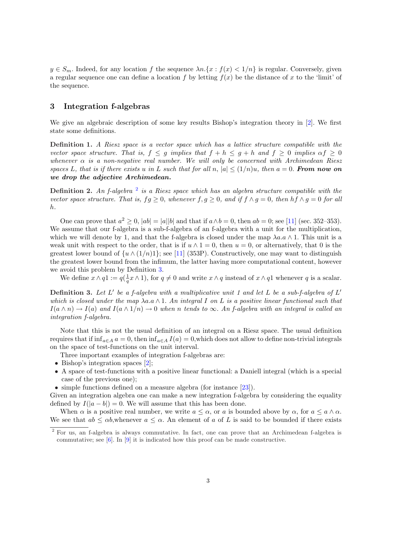$y \in S_m$ . Indeed, for any location f the sequence  $\lambda n \cdot \{x : f(x) < 1/n\}$  is regular. Conversely, given a regular sequence one can define a location f by letting  $f(x)$  be the distance of x to the 'limit' of the sequence.

# 3 Integration f-algebras

We give an algebraic description of some key results Bishop's integration theory in [2]. We first state some definitions.

Definition 1. A Riesz space is a vector space which has a lattice structure compatible with the vector space structure. That is,  $f \leq g$  implies that  $f + h \leq g + h$  and  $f \geq 0$  implies  $\alpha f \geq 0$ whenever  $\alpha$  is a non-negative real number. We will only be concerned with Archimedean Riesz spaces L, that is if there exists u in L such that for all n,  $|a| \leq (1/n)u$ , then  $a = 0$ . From now on we drop the adjective Archimedean.

**Definition 2.** An f-algebra  $^2$  is a Riesz space which has an algebra structure compatible with the vector space structure. That is,  $fg \geq 0$ , whenever  $f, g \geq 0$ , and if  $f \wedge g = 0$ , then  $hf \wedge g = 0$  for all h.

One can prove that  $a^2 \ge 0$ ,  $|ab| = |a||b|$  and that if  $a \wedge b = 0$ , then  $ab = 0$ ; see [11] (sec. 352–353). We assume that our f-algebra is a sub-f-algebra of an f-algebra with a unit for the multiplication, which we will denote by 1, and that the f-algebra is closed under the map  $\lambda a.a \wedge 1$ . This unit is a weak unit with respect to the order, that is if  $u \wedge 1 = 0$ , then  $u = 0$ , or alternatively, that 0 is the greatest lower bound of  $\{u \wedge (1/n)1\}$ ; see [11] (353P). Constructively, one may want to distinguish the greatest lower bound from the infimum, the latter having more computational content, however we avoid this problem by Definition 3.

We define  $x \wedge q1 := q(\frac{1}{q}x \wedge 1)$ , for  $q \neq 0$  and write  $x \wedge q$  instead of  $x \wedge q1$  whenever q is a scalar.

**Definition 3.** Let L' be a f-algebra with a multiplicative unit 1 and let L be a sub-f-algebra of L' which is closed under the map  $\lambda a.a \wedge 1$ . An integral I on L is a positive linear functional such that  $I(a \wedge n) \to I(a)$  and  $I(a \wedge 1/n) \to 0$  when n tends to  $\infty$ . An f-algebra with an integral is called an integration f-algebra.

Note that this is not the usual definition of an integral on a Riesz space. The usual definition requires that if  $\inf_{a \in A} a = 0$ , then  $\inf_{a \in A} I(a) = 0$ , which does not allow to define non-trivial integrals on the space of test-functions on the unit interval.

Three important examples of integration f-algebras are:

- Bishop's integration spaces [2];
- A space of test-functions with a positive linear functional: a Daniell integral (which is a special case of the previous one);
- simple functions defined on a measure algebra (for instance [23]).

Given an integration algebra one can make a new integration f-algebra by considering the equality defined by  $I(|a - b|) = 0$ . We will assume that this has been done.

When  $\alpha$  is a positive real number, we write  $a \leq \alpha$ , or a is bounded above by  $\alpha$ , for  $a \leq a \wedge \alpha$ . We see that  $ab \leq \alpha b$ , whenever  $a \leq \alpha$ . An element of a of L is said to be bounded if there exists

<sup>2</sup> For us, an f-algebra is always commutative. In fact, one can prove that an Archimedean f-algebra is commutative; see  $[6]$ . In  $[9]$  it is indicated how this proof can be made constructive.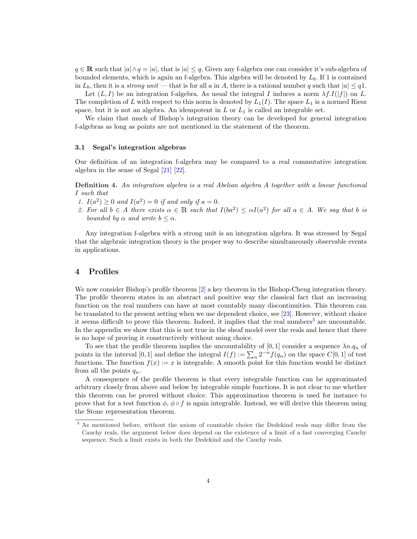$q \in \mathbb{R}$  such that  $|a| \wedge q = |a|$ , that is  $|a| \leq q$ . Given any f-algebra one can consider it's sub-algebra of bounded elements, which is again an f-algebra. This algebra will be denoted by  $L_b$ . If 1 is contained in  $L_b$ , then it is a strong unit — that is for all a in A, there is a rational number q such that  $|a| \leq q$ .

Let  $(L, I)$  be an integration f-algebra. As usual the integral I induces a norm  $\lambda f.I(|f|)$  on L. The completion of L with respect to this norm is denoted by  $L_1(I)$ . The space  $L_1$  is a normed Riesz space, but it is not an algebra. An idempotent in  $L$  or  $L_1$  is called an integrable set.

We claim that much of Bishop's integration theory can be developed for general integration f-algebras as long as points are not mentioned in the statement of the theorem.

#### 3.1 Segal's integration algebras

Our definition of an integration f-algebra may be compared to a real commutative integration algebra in the sense of Segal [21] [22].

Definition 4. An integration algebra is a real Abelian algebra A together with a linear functional I such that

- 1.  $I(a^2) \geq 0$  and  $I(a^2) = 0$  if and only if  $a = 0$ .
- 2. For all  $b \in A$  there exists  $\alpha \in \mathbb{R}$  such that  $I(ba^2) \leq \alpha I(a^2)$  for all  $a \in A$ . We say that b is bounded by  $\alpha$  and write  $b \leq \alpha$ .

Any integration f-algebra with a strong unit is an integration algebra. It was stressed by Segal that the algebraic integration theory is the proper way to describe simultaneously observable events in applications.

#### 4 Profiles

We now consider Bishop's profile theorem [2] a key theorem in the Bishop-Cheng integration theory. The profile theorem states in an abstract and positive way the classical fact that an increasing function on the real numbers can have at most countably many discontinuities. This theorem can be translated to the present setting when we use dependent choice, see [23]. However, without choice it seems difficult to prove this theorem. Indeed, it implies that the real numbers<sup>3</sup> are uncountable. In the appendix we show that this is not true in the sheaf model over the reals and hence that there is no hope of proving it constructively without using choice.

To see that the profile theorem implies the uncountability of [0, 1] consider a sequence  $\lambda n.q_n$  of To see that the prome theorem implies the uncountability of [0, 1] consider a sequence  $\lambda n.q_n$  or points in the interval [0, 1] and define the integral  $I(f) := \sum_n 2^{-n} f(q_n)$  on the space  $C[0, 1]$  of test functions. The function  $f(x) := x$  is integrable. A smooth point for this function would be distinct from all the points  $q_n$ .

A consequence of the profile theorem is that every integrable function can be approximated arbitrary closely from above and below by integrable simple functions. It is not clear to me whether this theorem can be proved without choice. This approximation theorem is used for instance to prove that for a test function  $\phi$ ,  $\phi \circ f$  is again integrable. Instead, we will derive this theorem using the Stone representation theorem.

<sup>&</sup>lt;sup>3</sup> As mentioned before, without the axiom of countable choice the Dedekind reals may differ from the Cauchy reals, the argument below does depend on the existence of a limit of a fast converging Cauchy sequence. Such a limit exists in both the Dedekind and the Cauchy reals.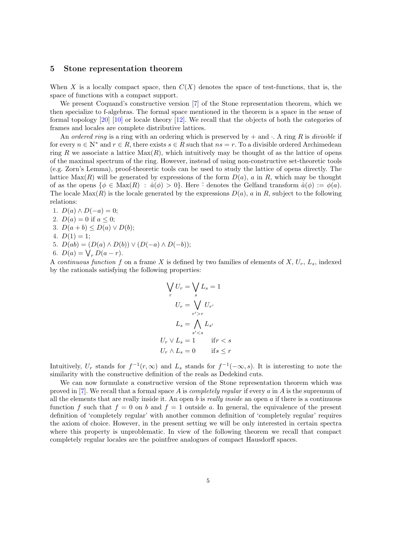## 5 Stone representation theorem

When X is a locally compact space, then  $C(X)$  denotes the space of test-functions, that is, the space of functions with a compact support.

We present Coquand's constructive version [7] of the Stone representation theorem, which we then specialize to f-algebras. The formal space mentioned in the theorem is a space in the sense of formal topology [20] [10] or locale theory [12]. We recall that the objects of both the categories of frames and locales are complete distributive lattices.

An ordered ring is a ring with an ordering which is preserved by  $+$  and  $\cdot$ . A ring R is divisible if for every  $n \in \mathbb{N}^*$  and  $r \in R$ , there exists  $s \in R$  such that  $ns = r$ . To a divisible ordered Archimedean ring R we associate a lattice  $Max(R)$ , which intuitively may be thought of as the lattice of opens of the maximal spectrum of the ring. However, instead of using non-constructive set-theoretic tools (e.g. Zorn's Lemma), proof-theoretic tools can be used to study the lattice of opens directly. The lattice  $Max(R)$  will be generated by expressions of the form  $D(a)$ , a in R, which may be thought of as the opens  $\{\phi \in \text{Max}(R) : \hat{a}(\phi) > 0\}$ . Here  $\hat{\cdot}$  denotes the Gelfand transform  $\hat{a}(\phi) := \phi(a)$ . The locale Max $(R)$  is the locale generated by the expressions  $D(a)$ , a in R, subject to the following relations:

1.  $D(a) \wedge D(-a) = 0;$ 2.  $D(a) = 0$  if  $a \leq 0$ ; 3.  $D(a + b) \le D(a) \vee D(b);$ 4.  $D(1) = 1$ ; 5.  $D(ab) = (D(a) \wedge D(b)) \vee (D(-a) \wedge D(-b))$ ; 5.  $D(ab) = (D(a) \wedge D(b))$ <br>6.  $D(a) = \bigvee_r D(a - r)$ .

A continuous function f on a frame X is defined by two families of elements of  $X, U_r, L_s$ , indexed by the rationals satisfying the following properties:

$$
\bigvee_r U_r = \bigvee_s L_s = 1
$$
  
\n
$$
U_r = \bigvee_s U_{r'}
$$
  
\n
$$
L_s = \bigwedge_{s' < s} L_{s'}
$$
  
\n
$$
U_r \vee L_s = 1 \qquad \text{if } r < s
$$
  
\n
$$
U_r \wedge L_s = 0 \qquad \text{if } s \leq r
$$

Intuitively,  $U_r$  stands for  $f^{-1}(r,\infty)$  and  $L_s$  stands for  $f^{-1}(-\infty,s)$ . It is interesting to note the similarity with the constructive definition of the reals as Dedekind cuts.

We can now formulate a constructive version of the Stone representation theorem which was proved in [7]. We recall that a formal space A is *completely regular* if every a in A is the supremum of all the elements that are really inside it. An open b is really inside an open a if there is a continuous function f such that  $f = 0$  on b and  $f = 1$  outside a. In general, the equivalence of the present definition of 'completely regular' with another common definition of 'completely regular' requires the axiom of choice. However, in the present setting we will be only interested in certain spectra where this property is unproblematic. In view of the following theorem we recall that compact completely regular locales are the pointfree analogues of compact Hausdorff spaces.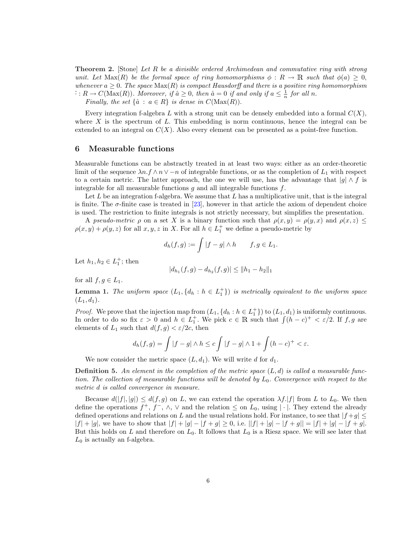Theorem 2. [Stone] Let R be a divisible ordered Archimedean and commutative ring with strong unit. Let  $\text{Max}(R)$  be the formal space of ring homomorphisms  $\phi: R \to \mathbb{R}$  such that  $\phi(a) \geq 0$ , whenever  $a \geq 0$ . The space  $\text{Max}(R)$  is compact Hausdorff and there is a positive ring homomorphism  $\hat{\cdot}: R \to C(\text{Max}(R)).$  Moreover, if  $\hat{a} \geq 0$ , then  $\hat{a} = 0$  if and only if  $a \leq \frac{1}{n}$  for all n.

Finally, the set  $\{\hat{a} : a \in R\}$  is dense in  $C(\text{Max}(R)).$ 

Every integration f-algebra L with a strong unit can be densely embedded into a formal  $C(X)$ , where X is the spectrum of L. This embedding is norm continuous, hence the integral can be extended to an integral on  $C(X)$ . Also every element can be presented as a point-free function.

## 6 Measurable functions

Measurable functions can be abstractly treated in at least two ways: either as an order-theoretic limit of the sequence  $\lambda n.f \wedge n \vee -n$  of integrable functions, or as the completion of  $L_1$  with respect to a certain metric. The latter approach, the one we will use, has the advantage that  $|g| \wedge f$  is integrable for all measurable functions  $q$  and all integrable functions  $f$ .

Let  $L$  be an integration f-algebra. We assume that  $L$  has a multiplicative unit, that is the integral is finite. The  $\sigma$ -finite case is treated in [23], however in that article the axiom of dependent choice is used. The restriction to finite integrals is not strictly necessary, but simplifies the presentation.

A pseudo-metric  $\rho$  on a set X is a binary function such that  $\rho(x, y) = \rho(y, x)$  and  $\rho(x, z) \leq$  $\rho(x, y) + \rho(y, z)$  for all  $x, y, z$  in X. For all  $h \in L_1^+$  we define a pseudo-metric by

$$
d_h(f,g) := \int |f - g| \wedge h \qquad f, g \in L_1.
$$

Let  $h_1, h_2 \in L_1^+$ ; then

$$
|d_{h_1}(f,g) - d_{h_2}(f,g)| \le ||h_1 - h_2||_1
$$

for all  $f, g \in L_1$ .

**Lemma 1.** The uniform space  $(L_1, \{d_h : h \in L_1^+\})$  is metrically equivalent to the uniform space  $(L_1, d_1).$ 

*Proof.* We prove that the injection map from  $(L_1, \{d_h : h \in L_1^+\})$  to  $(L_1, d_1)$  is uniformly continuous. *Proof.* We prove that the mjection map from  $(L_1, \{a_h : h \in L_1\})$  to  $(L_1, a_1)$  is uniformly continuous.<br>In order to do so fix  $\varepsilon > 0$  and  $h \in L_1^+$ . We pick  $c \in \mathbb{R}$  such that  $\int (h - c)^+ < \varepsilon/2$ . If f, g are elements of  $L_1$  such that  $d(f, g) < \varepsilon/2c$ , then

$$
d_h(f,g) = \int |f - g| \wedge h \le c \int |f - g| \wedge 1 + \int (h - c)^+ < \varepsilon.
$$

We now consider the metric space  $(L, d_1)$ . We will write d for  $d_1$ .

**Definition 5.** An element in the completion of the metric space  $(L, d)$  is called a measurable function. The collection of measurable functions will be denoted by  $L_0$ . Convergence with respect to the metric d is called convergence in measure.

Because  $d(|f|, |g|) \leq d(f, g)$  on L, we can extend the operation  $\lambda f |f|$  from L to L<sub>0</sub>. We then define the operations  $f^+, f^-, \wedge, \vee$  and the relation  $\leq$  on  $L_0$ , using  $|\cdot|$ . They extend the already defined operations and relations on L and the usual relations hold. For instance, to see that  $|f+g| \leq$  $|f| + |g|$ , we have to show that  $|f| + |g| - |f + g| \ge 0$ , i.e.  $||f| + |g| - |f + g|| = |f| + |g| - |f + g|$ . But this holds on L and therefore on  $L_0$ . It follows that  $L_0$  is a Riesz space. We will see later that  $L_0$  is actually an f-algebra.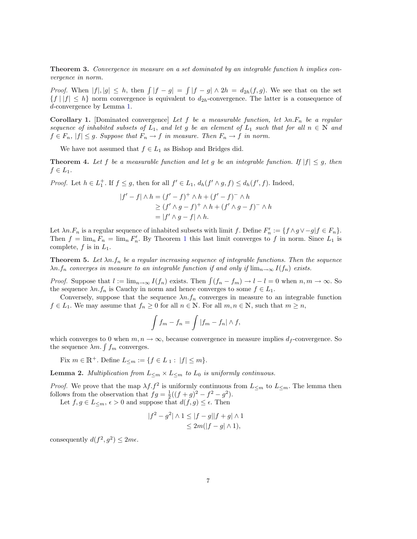**Theorem 3.** Convergence in measure on a set dominated by an integrable function h implies convergence in norm.

*Proof.* When  $|f|, |g| \leq h$ , then  $\int |f - g| =$ R  $|f - g| \wedge 2h = d_{2h}(f, g)$ . We see that on the set  ${f | |f| \leq h}$  norm convergence is equivalent to  $d_{2h}$ -convergence. The latter is a consequence of d-convergence by Lemma 1.

Corollary 1. [Dominated convergence] Let f be a measurable function, let  $\lambda n.F_n$  be a regular sequence of inhabited subsets of  $L_1$ , and let g be an element of  $L_1$  such that for all  $n \in \mathbb{N}$  and  $f \in F_n$ ,  $|f| \leq g$ . Suppose that  $F_n \to f$  in measure. Then  $F_n \to f$  in norm.

We have not assumed that  $f \in L_1$  as Bishop and Bridges did.

**Theorem 4.** Let f be a measurable function and let g be an integrable function. If  $|f| \leq g$ , then  $f\in L_1$ .

*Proof.* Let  $h \in L_1^+$ . If  $f \leq g$ , then for all  $f' \in L_1$ ,  $d_h(f' \wedge g, f) \leq d_h(f', f)$ . Indeed,

$$
|f'-f| \wedge h = (f'-f)^+ \wedge h + (f'-f)^- \wedge h
$$
  
\n
$$
\geq (f' \wedge g - f)^+ \wedge h + (f' \wedge g - f)^- \wedge h
$$
  
\n
$$
= |f' \wedge g - f| \wedge h.
$$

Let  $\lambda n.F_n$  is a regular sequence of inhabited subsets with limit f. Define  $F'_n := \{f \wedge g \vee -g | f \in F_n\}.$ Then  $f = \lim_{n} F_n = \lim_{n} F'_n$ . By Theorem 1 this last limit converges to f in norm. Since  $L_1$  is complete,  $f$  is in  $L_1$ .

**Theorem 5.** Let  $\lambda n.f_n$  be a regular increasing sequence of integrable functions. Then the sequence  $\lambda n.f_n$  converges in measure to an integrable function if and only if  $\lim_{n\to\infty} I(f_n)$  exists.

*Proof.* Suppose that  $l := \lim_{n \to \infty} I(f_n)$  exists. Then  $\int (f_n - f_m) \to l - l = 0$  when  $n, m \to \infty$ . So the sequence  $\lambda n.f_n$  is Cauchy in norm and hence converges to some  $f \in L_1$ .

Conversely, suppose that the sequence  $\lambda n.f_n$  converges in measure to an integrable function  $f \in L_1$ . We may assume that  $f_n \geq 0$  for all  $n \in \mathbb{N}$ . For all  $m, n \in \mathbb{N}$ , such that  $m \geq n$ ,

$$
\int f_m - f_n = \int |f_m - f_n| \wedge f,
$$

which converges to 0 when  $m, n \to \infty$ , because convergence in measure implies  $d_f$ -convergence. So which converges to 0 when  $m, n$  -<br>the sequence  $\lambda m. \int f_m$  converges.

Fix  $m \in \mathbb{R}^+$ . Define  $L_{\leq m} := \{ f \in L_1 : |f| \leq m \}.$ 

**Lemma 2.** Multiplication from  $L_{\leq m} \times L_{\leq m}$  to  $L_0$  is uniformly continuous.

*Proof.* We prove that the map  $\lambda f$ .  $f^2$  is uniformly continuous from  $L_{\leq m}$  to  $L_{\leq m}$ . The lemma then follows from the observation that  $fg = \frac{1}{2}((f+g)^2 - f^2 - g^2)$ .

Let  $f, g \in L_{\leq m}, \epsilon > 0$  and suppose that  $d(f, g) \leq \epsilon$ . Then

$$
|f^2 - g^2| \wedge 1 \le |f - g||f + g| \wedge 1
$$
  
\n
$$
\le 2m(|f - g| \wedge 1),
$$

consequently  $d(f^2, g^2) \leq 2m\epsilon$ .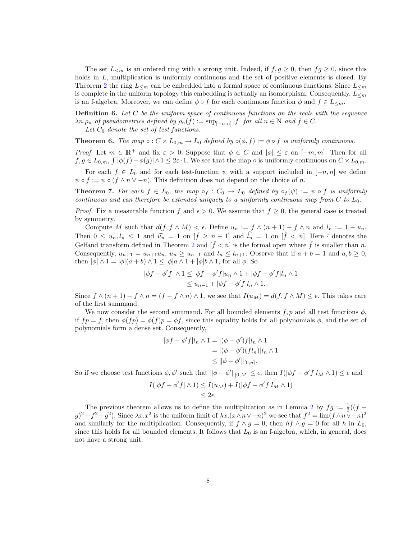The set  $L_{\leq m}$  is an ordered ring with a strong unit. Indeed, if  $f, g \geq 0$ , then  $fg \geq 0$ , since this holds in L, multiplication is uniformly continuous and the set of positive elements is closed. By Theorem 2 the ring  $L_{\leq m}$  can be embedded into a formal space of continuous functions. Since  $L_{\leq m}$ is complete in the uniform topology this embedding is actually an isomorphism. Consequently,  $L_{\leq m}$ is an f-algebra. Moreover, we can define  $\phi \circ f$  for each continuous function  $\phi$  and  $f \in L_{\leq m}$ .

**Definition 6.** Let  $C$  be the uniform space of continuous functions on the reals with the sequence  $\lambda n.\rho_n$  of pseudometrics defined by  $\rho_n(f) := \sup_{[-n,n]} |f|$  for all  $n \in \mathbb{N}$  and  $f \in C$ .

Let  $C_0$  denote the set of test-functions.

**Theorem 6.** The map  $\circ : C \times L_{0,m} \to L_0$  defined by  $\circ (\phi, f) := \phi \circ f$  is uniformly continuous.

Proof. Let  $m \in \mathbb{R}^+$  and fix  $\varepsilon > 0$ . Suppose that  $\phi \in C$  and  $|\phi| \leq \varepsilon$  on  $[-m, m]$ . Then for all  $f, g \in L_{0,m}, \int |\phi(f) - \phi(g)| \wedge 1 \leq 2\varepsilon \cdot 1$ . We see that the map  $\circ$  is uniformly continuous on  $C \times L_{0,m}$ .

For each  $f \in L_0$  and for each test-function  $\psi$  with a support included in  $[-n, n]$  we define  $\psi \circ f := \psi \circ (f \wedge n \vee -n)$ . This definition does not depend on the choice of n.

**Theorem 7.** For each  $f \in L_0$ , the map  $\circ_f : C_0 \to L_0$  defined by  $\circ_f(\psi) := \psi \circ f$  is uniformly continuous and can therefore be extended uniquely to a uniformly continuous map from  $C$  to  $L_0$ .

*Proof.* Fix a measurable function f and  $\epsilon > 0$ . We assume that  $f \geq 0$ , the general case is treated by symmetry.

Compute M such that  $d(f, f \wedge M) < \epsilon$ . Define  $u_n := f \wedge (n+1) - f \wedge n$  and  $l_n := 1 - u_n$ . Then  $0 \leq u_n, l_n \leq 1$  and  $\widehat{u_n} = 1$  on  $[\hat{f} \geq n+1]$  and  $\widehat{l_n} = 1$  on  $[\hat{f} \leq n]$ . Here  $\hat{i}$  denotes the Gelfand transform defined in Theorem 2 and  $|\tilde{f} \lt n|$  is the formal open where  $\tilde{f}$  is smaller than n. Consequently,  $u_{n+1} = u_{n+1}u_n$ ,  $u_n \ge u_{n+1}$  and  $l_n \le l_{n+1}$ . Observe that if  $a + b = 1$  and  $a, b \ge 0$ , then  $|\phi| \wedge 1 = |\phi|(a+b) \wedge 1 \leq |\phi| \wedge 1 + |\phi| \wedge 1$ , for all  $\phi$ . So

$$
|\phi f - \phi' f| \wedge 1 \le |\phi f - \phi' f| u_n \wedge 1 + |\phi f - \phi' f| l_n \wedge 1
$$
  

$$
\le u_{n-1} + |\phi f - \phi' f| l_n \wedge 1.
$$

Since  $f \wedge (n+1) - f \wedge n = (f - f \wedge n) \wedge 1$ , we see that  $I(u_M) = d(f, f \wedge M) \leq \epsilon$ . This takes care of the first summand.

We now consider the second summand. For all bounded elements f, p and all test functions  $\phi$ , if  $fp = f$ , then  $\phi(fp) = \phi(f)p = \phi f$ , since this equality holds for all polynomials  $\phi$ , and the set of polynomials form a dense set. Consequently,

$$
|\phi f - \phi' f| l_n \wedge 1 = |(\phi - \phi') f| l_n \wedge 1
$$
  
= |(\phi - \phi')(f l\_n)| l\_n \wedge 1  

$$
\leq ||\phi - \phi'||_{[0,n]}.
$$

So if we choose test functions  $\phi$ ,  $\phi'$  such that  $\|\phi - \phi'\|_{[0,M]} \leq \epsilon$ , then  $I(|\phi f - \phi' f|_{M} \wedge 1) \leq \epsilon$  and

$$
I(|\phi f - \phi' f| \wedge 1) \leq I(u_M) + I(|\phi f - \phi' f| l_M \wedge 1)
$$
  
\$\leq 2\epsilon\$.

The previous theorem allows us to define the multiplication as in Lemma 2 by  $fg := \frac{1}{2}((f +$  $(g)^2 - f^2 - g^2$ ). Since  $\lambda x . x^2$  is the uniform limit of  $\lambda x . (x \wedge n \vee -n)^2$  we see that  $f^2 = \lim (f \wedge n \vee -n)^2$ and similarly for the multiplication. Consequently, if  $f \wedge g = 0$ , then  $hf \wedge g = 0$  for all h in  $L_0$ , since this holds for all bounded elements. It follows that  $L_0$  is an f-algebra, which, in general, does not have a strong unit.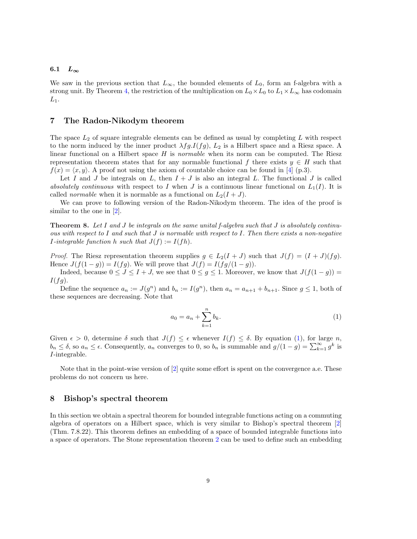#### 6.1  $L_{\infty}$

We saw in the previous section that  $L_{\infty}$ , the bounded elements of  $L_0$ , form an f-algebra with a strong unit. By Theorem 4, the restriction of the multiplication on  $L_0 \times L_0$  to  $L_1 \times L_\infty$  has codomain  $L_1$ .

## 7 The Radon-Nikodym theorem

The space  $L_2$  of square integrable elements can be defined as usual by completing L with respect to the norm induced by the inner product  $\lambda fg.I(fg)$ ,  $L_2$  is a Hilbert space and a Riesz space. A linear functional on a Hilbert space  $H$  is *normable* when its norm can be computed. The Riesz representation theorem states that for any normable functional f there exists  $y \in H$  such that  $f(x) = \langle x, y \rangle$ . A proof not using the axiom of countable choice can be found in [4] (p.3).

Let I and J be integrals on L, then  $I + J$  is also an integral L. The functional J is called absolutely continuous with respect to I when J is a continuous linear functional on  $L_1(I)$ . It is called *normable* when it is normable as a functional on  $L_2(I+J)$ .

We can prove to following version of the Radon-Nikodym theorem. The idea of the proof is similar to the one in  $[2]$ .

**Theorem 8.** Let I and J be integrals on the same unital f-algebra such that J is absolutely continuous with respect to I and such that J is normable with respect to I. Then there exists a non-negative *I*-integrable function h such that  $J(f) := I(fh)$ .

*Proof.* The Riesz representation theorem supplies  $g \in L_2(I+J)$  such that  $J(f) = (I+J)(fg)$ . Hence  $J(f(1-g)) = I(fg)$ . We will prove that  $J(f) = I(fg/(1-g))$ .

Indeed, because  $0 \leq J \leq I + J$ , we see that  $0 \leq g \leq 1$ . Moreover, we know that  $J(f(1-g)) =$  $I(fg).$ 

Define the sequence  $a_n := J(g^n)$  and  $b_n := I(g^n)$ , then  $a_n = a_{n+1} + b_{n+1}$ . Since  $g \le 1$ , both of these sequences are decreasing. Note that

$$
a_0 = a_n + \sum_{k=1}^n b_k.
$$
 (1)

Given  $\epsilon > 0$ , determine  $\delta$  such that  $J(f) \leq \epsilon$  whenever  $I(f) \leq \delta$ . By equation (1), for large n, Given  $\epsilon > 0$ , determine  $\delta$  such that  $J(f) \leq \epsilon$  whenever  $I(f) \leq \delta$ . By equation (1), for large  $n$ ,  $b_n \leq \delta$ , so  $a_n \leq \epsilon$ . Consequently,  $a_n$  converges to 0, so  $b_n$  is summable and  $g/(1-g) = \sum_{k=1}^{\infty} g^k$  is I-integrable.

Note that in the point-wise version of [2] quite some effort is spent on the convergence a.e. These problems do not concern us here.

#### 8 Bishop's spectral theorem

In this section we obtain a spectral theorem for bounded integrable functions acting on a commuting algebra of operators on a Hilbert space, which is very similar to Bishop's spectral theorem [2] (Thm. 7.8.22). This theorem defines an embedding of a space of bounded integrable functions into a space of operators. The Stone representation theorem 2 can be used to define such an embedding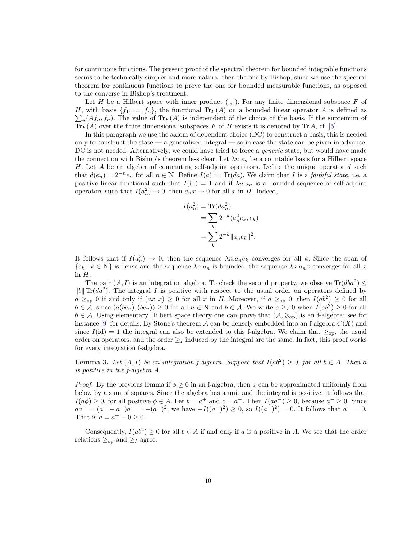for continuous functions. The present proof of the spectral theorem for bounded integrable functions seems to be technically simpler and more natural then the one by Bishop, since we use the spectral theorem for continuous functions to prove the one for bounded measurable functions, as opposed to the converse in Bishop's treatment.

Let H be a Hilbert space with inner product  $(\cdot, \cdot)$ . For any finite dimensional subspace F of H, with basis  $\{f_1, \ldots, f_n\}$ , the functional  $\text{Tr}_F(A)$  on a bounded linear operator A is defined as  $_n(At_n, f_n)$ . The value of  $\text{Tr}_F(A)$  is independent of the choice of the basis. If the supremum of  $\text{Tr}_F(A)$  over the finite dimensional subspaces F of H exists it is denoted by Tr A, cf. [5].

In this paragraph we use the axiom of dependent choice (DC) to construct a basis, this is needed only to construct the state — a generalized integral — so in case the state can be given in advance, DC is not needed. Alternatively, we could have tried to force a *generic* state, but would have made the connection with Bishop's theorem less clear. Let  $\lambda n.e_n$  be a countable basis for a Hilbert space H. Let  $\mathcal A$  be an algebra of commuting self-adjoint operators. Define the unique operator  $d$  such that  $d(e_n) = 2^{-n}e_n$  for all  $n \in \mathbb{N}$ . Define  $I(a) := \text{Tr}(da)$ . We claim that I is a *faithful state*, i.e. a positive linear functional such that  $I(id) = 1$  and if  $\lambda n.a_n$  is a bounded sequence of self-adjoint operators such that  $I(a_n^2) \to 0$ , then  $a_n x \to 0$  for all x in H. Indeed,

$$
I(a_n^2) = \text{Tr}(da_n^2)
$$
  
= 
$$
\sum_k 2^{-k} (a_n^2 e_k, e_k)
$$
  
= 
$$
\sum_k 2^{-k} ||a_n e_k||^2.
$$

It follows that if  $I(a_n^2) \to 0$ , then the sequence  $\lambda n.a_ne_k$  converges for all k. Since the span of  ${e_k : k \in \mathbb{N}}$  is dense and the sequence  $\lambda n.a_n$  is bounded, the sequence  $\lambda n.a_nx$  converges for all x in  $H$ .

The pair  $(A, I)$  is an integration algebra. To check the second property, we observe  $\text{Tr}(dba^2) \leq$  $||b||$  Tr( $da^2$ ). The integral I is positive with respect to the usual order on operators defined by  $a \ge_{\text{op}} 0$  if and only if  $(ax, x) \ge 0$  for all x in H. Moreover, if  $a \ge_{\text{op}} 0$ , then  $I(ab^2) \ge 0$  for all  $b \in \mathcal{A}$ , since  $(a(be_n), (be_n)) \ge 0$  for all  $n \in \mathbb{N}$  and  $b \in \mathcal{A}$ . We write  $a \geq_I 0$  when  $I(ab^2) \ge 0$  for all  $b \in \mathcal{A}$ . Using elementary Hilbert space theory one can prove that  $(\mathcal{A}, \geq_{\text{op}})$  is an f-algebra; see for instance  $[9]$  for details. By Stone's theorem A can be densely embedded into an f-algebra  $C(X)$  and since  $I(\text{id}) = 1$  the integral can also be extended to this f-algebra. We claim that  $\geq_{\text{op}}$ , the usual order on operators, and the order  $\geq_I$  induced by the integral are the same. In fact, this proof works for every integration f-algebra.

**Lemma 3.** Let  $(A, I)$  be an integration f-algebra. Suppose that  $I(ab^2) \geq 0$ , for all  $b \in A$ . Then a is positive in the f-algebra A.

*Proof.* By the previous lemma if  $\phi \geq 0$  in an f-algebra, then  $\phi$  can be approximated uniformly from below by a sum of squares. Since the algebra has a unit and the integral is positive, it follows that  $I(a\phi) \geq 0$ , for all positive  $\phi \in A$ . Let  $b = a^+$  and  $c = a^-$ . Then  $I(aa^-) \geq 0$ , because  $a^- \geq 0$ . Since  $aa^- = (a^+ - a^-)a^- = -(a^-)^2$ , we have  $-I((a^-)^2) \ge 0$ , so  $I((a^-)^2) = 0$ . It follows that  $a^- = 0$ . That is  $a = a^+ - 0 \geq 0$ .

Consequently,  $I(ab^2) \geq 0$  for all  $b \in A$  if and only if a is a positive in A. We see that the order relations  $\geq_{\text{op}}$  and  $\geq_{I}$  agree.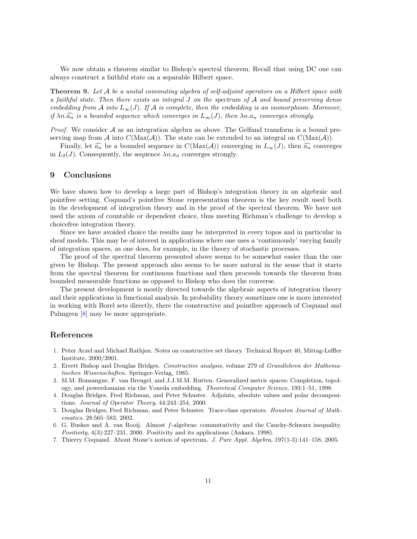We now obtain a theorem similar to Bishop's spectral theorem. Recall that using DC one can always construct a faithful state on a separable Hilbert space.

**Theorem 9.** Let A be a unital commuting algebra of self-adjoint operators on a Hilbert space with a faithful state. Then there exists an integral J on the spectrum of A and bound preserving dense embedding from A into  $L_{\infty}(J)$ . If A is complete, then the embedding is an isomorphism. Moreover, if  $\lambda n.\widehat{a_n}$  is a bounded sequence which converges in  $L_{\infty}(J)$ , then  $\lambda n.a_n$  converges strongly.

*Proof.* We consider  $A$  as an integration algebra as above. The Gelfand transform is a bound preserving map from A into  $C(\text{Max}(A))$ . The state can be extended to an integral on  $C(\text{Max}(A))$ .

Finally, let  $\widehat{a_n}$  be a bounded sequence in  $C(\text{Max}(\mathcal{A}))$  converging in  $L_{\infty}(J)$ , then  $\widehat{a_n}$  converges in  $L_2(J)$ . Consequently, the sequence  $\lambda n.a_n$  converges strongly.

## 9 Conclusions

We have shown how to develop a large part of Bishop's integration theory in an algebraic and pointfree setting. Coquand's pointfree Stone representation theorem is the key result used both in the development of integration theory and in the proof of the spectral theorem. We have not used the axiom of countable or dependent choice, thus meeting Richman's challenge to develop a choicefree integration theory.

Since we have avoided choice the results may be interpreted in every topos and in particular in sheaf models. This may be of interest in applications where one uses a 'continuously' varying family of integration spaces, as one does, for example, in the theory of stochastic processes.

The proof of the spectral theorem presented above seems to be somewhat easier than the one given by Bishop. The present approach also seems to be more natural in the sense that it starts from the spectral theorem for continuous functions and then proceeds towards the theorem from bounded measurable functions as opposed to Bishop who does the converse.

The present development is mostly directed towards the algebraic aspects of integration theory and their applications in functional analysis. In probability theory sometimes one is more interested in working with Borel sets directly, there the constructive and pointfree approach of Coquand and Palmgren [8] may be more appropriate.

# References

- 1. Peter Aczel and Michael Rathjen. Notes on constructive set theory. Technical Report 40, Mittag-Leffler Institute, 2000/2001.
- 2. Errett Bishop and Douglas Bridges. Constructive analysis, volume 279 of Grundlehren der Mathematischen Wissenschaften. Springer-Verlag, 1985.
- 3. M.M. Bonsangue, F. van Breugel, and J.J.M.M. Rutten. Generalized metric spaces: Completion, topology, and powerdomains via the Yoneda embedding. Theoretical Computer Science, 193:1–51, 1998.
- 4. Douglas Bridges, Fred Richman, and Peter Schuster. Adjoints, absolute values and polar decompositions. Journal of Operator Theory, 44:243–254, 2000.
- 5. Douglas Bridges, Fred Richman, and Peter Schuster. Trace-class operators. Houston Journal of Mathematics, 28:565–583, 2002.
- 6. G. Buskes and A. van Rooij. Almost f-algebras: commutativity and the Cauchy-Schwarz inequality. Positivity, 4(3):227–231, 2000. Positivity and its applications (Ankara, 1998).
- 7. Thierry Coquand. About Stone's notion of spectrum. J. Pure Appl. Algebra, 197(1-3):141–158, 2005.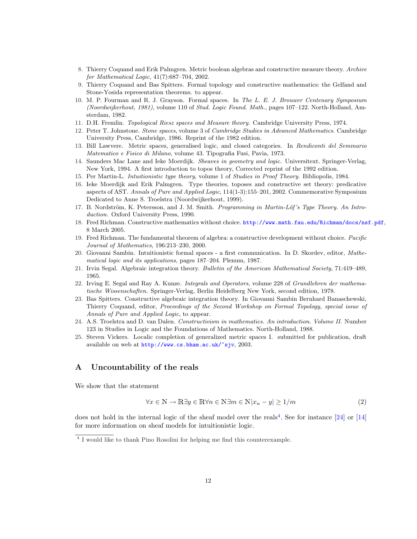- 8. Thierry Coquand and Erik Palmgren. Metric boolean algebras and constructive measure theory. Archive for Mathematical Logic, 41(7):687–704, 2002.
- 9. Thierry Coquand and Bas Spitters. Formal topology and constructive mathematics: the Gelfand and Stone-Yosida representation theorems. to appear.
- 10. M. P. Fourman and R. J. Grayson. Formal spaces. In The L. E. J. Brouwer Centenary Symposium (Noordwijkerhout, 1981), volume 110 of Stud. Logic Found. Math., pages 107–122. North-Holland, Amsterdam, 1982.
- 11. D.H. Fremlin. Topological Riesz spaces and Measure theory. Cambridge University Press, 1974.
- 12. Peter T. Johnstone. Stone spaces, volume 3 of Cambridge Studies in Advanced Mathematics. Cambridge University Press, Cambridge, 1986. Reprint of the 1982 edition.
- 13. Bill Lawvere. Metric spaces, generalised logic, and closed categories. In Rendiconti del Seminario Matematico e Fisico di Milano, volume 43. Tipografia Fusi, Pavia, 1973.
- 14. Saunders Mac Lane and Ieke Moerdijk. Sheaves in geometry and logic. Universitext. Springer-Verlag, New York, 1994. A first introduction to topos theory, Corrected reprint of the 1992 edition.
- 15. Per Martin-L. Intuitionistic type theory, volume 1 of Studies in Proof Theory. Bibliopolis, 1984.
- 16. Ieke Moerdijk and Erik Palmgren. Type theories, toposes and constructive set theory: predicative aspects of AST. Annals of Pure and Applied Logic, 114(1-3):155–201, 2002. Commemorative Symposium Dedicated to Anne S. Troelstra (Noordwijkerhout, 1999).
- 17. B. Nordström, K. Petersson, and J. M. Smith. Programming in Martin-Löf's Type Theory. An Introduction. Oxford University Press, 1990.
- 18. Fred Richman. Constructive mathematics without choice. http://www.math.fau.edu/Richman/docs/nsf.pdf, 8 March 2005.
- 19. Fred Richman. The fundamental theorem of algebra: a constructive development without choice. Pacific Journal of Mathematics, 196:213–230, 2000.
- 20. Giovanni Sambin. Intuitionistic formal spaces a first communication. In D. Skordev, editor, Mathematical logic and its applications, pages 187–204. Plenum, 1987.
- 21. Irvin Segal. Algebraic integration theory. Bulletin of the American Mathematical Society, 71:419–489, 1965.
- 22. Irving E. Segal and Ray A. Kunze. *Integrals and Operators*, volume 228 of *Grundlehren der mathema*tische Wissenschaften. Springer-Verlag, Berlin Heidelberg New York, second edition, 1978.
- 23. Bas Spitters. Constructive algebraic integration theory. In Giovanni Sambin Bernhard Banaschewski, Thierry Coquand, editor, Proceedings of the Second Workshop on Formal Topology, special issue of Annals of Pure and Applied Logic, to appear.
- 24. A.S. Troelstra and D. van Dalen. Constructivism in mathematics. An introduction. Volume II. Number 123 in Studies in Logic and the Foundations of Mathematics. North-Holland, 1988.
- 25. Steven Vickers. Localic completion of generalized metric spaces I. submitted for publication, draft available on web at http://www.cs.bham.ac.uk/~sjv, 2003.

# A Uncountability of the reals

We show that the statement

$$
\forall x \in \mathbb{N} \to \mathbb{R} \exists y \in \mathbb{R} \forall n \in \mathbb{N} \exists m \in \mathbb{N} |x_n - y| \ge 1/m \tag{2}
$$

does not hold in the internal logic of the sheaf model over the reals<sup>4</sup>. See for instance [24] or [14] for more information on sheaf models for intuitionistic logic.

<sup>&</sup>lt;sup>4</sup> I would like to thank Pino Rosolini for helping me find this counterexample.